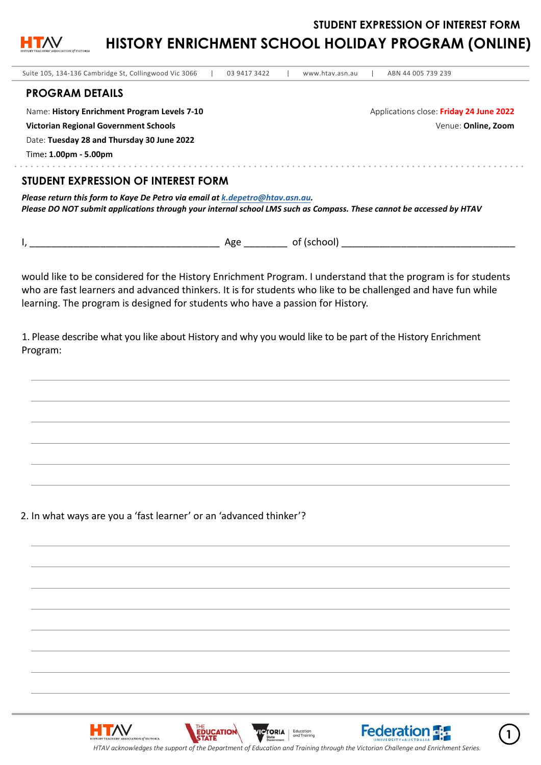**STUDENT EXPRESSION OF INTEREST FORM** 



**HISTORY ENRICHMENT SCHOOL HOLIDAY PROGRAM (ONLINE)**

| Suite 105, 134-136 Cambridge St, Collingwood Vic 3066<br>03 9417 3422                                                                                                                                | www.htav.asn.au | ABN 44 005 739 239                      |
|------------------------------------------------------------------------------------------------------------------------------------------------------------------------------------------------------|-----------------|-----------------------------------------|
| <b>PROGRAM DETAILS</b>                                                                                                                                                                               |                 |                                         |
| Name: History Enrichment Program Levels 7-10                                                                                                                                                         |                 | Applications close: Friday 24 June 2022 |
| Victorian Regional Government Schools                                                                                                                                                                |                 | Venue: Online, Zoom                     |
| Date: Tuesday 28 and Thursday 30 June 2022                                                                                                                                                           |                 |                                         |
| Time: 1.00pm - 5.00pm                                                                                                                                                                                |                 |                                         |
| STUDENT EXPRESSION OF INTEREST FORM                                                                                                                                                                  |                 |                                         |
| Please return this form to Kaye De Petro via email at k.depetro@htav.asn.au.<br>Please DO NOT submit applications through your internal school LMS such as Compass. These cannot be accessed by HTAV |                 |                                         |

|--|--|--|

would like to be considered for the History Enrichment Program. I understand that the program is for students who are fast learners and advanced thinkers. It is for students who like to be challenged and have fun while learning. The program is designed for students who have a passion for History.

1. Please describe what you like about History and why you would like to be part of the History Enrichment Program:

2. In what ways are you a 'fast learner' or an 'advanced thinker'?

HTAV